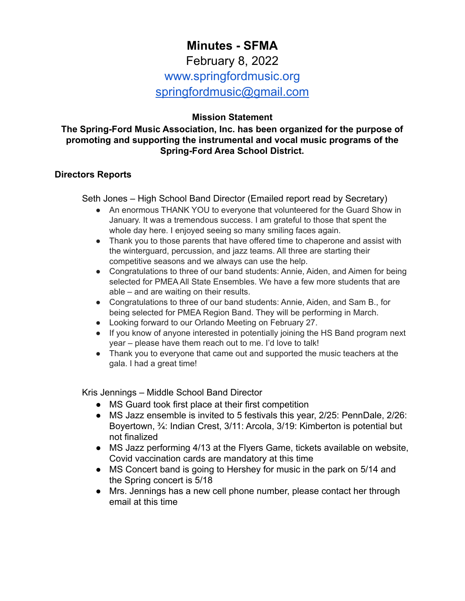# **Minutes - SFMA** February 8, 2022 www.springfordmusic.org [springfordmusic@gmail.com](mailto:springfordmusic@gmail.com)

## **Mission Statement**

#### **The Spring-Ford Music Association, Inc. has been organized for the purpose of promoting and supporting the instrumental and vocal music programs of the Spring-Ford Area School District.**

#### **Directors Reports**

Seth Jones – High School Band Director (Emailed report read by Secretary)

- An enormous THANK YOU to everyone that volunteered for the Guard Show in January. It was a tremendous success. I am grateful to those that spent the whole day here. I enjoyed seeing so many smiling faces again.
- Thank you to those parents that have offered time to chaperone and assist with the winterguard, percussion, and jazz teams. All three are starting their competitive seasons and we always can use the help.
- Congratulations to three of our band students: Annie, Aiden, and Aimen for being selected for PMEA All State Ensembles. We have a few more students that are able – and are waiting on their results.
- Congratulations to three of our band students: Annie, Aiden, and Sam B., for being selected for PMEA Region Band. They will be performing in March.
- Looking forward to our Orlando Meeting on February 27.
- If you know of anyone interested in potentially joining the HS Band program next year – please have them reach out to me. I'd love to talk!
- Thank you to everyone that came out and supported the music teachers at the gala. I had a great time!

Kris Jennings – Middle School Band Director

- MS Guard took first place at their first competition
- MS Jazz ensemble is invited to 5 festivals this year, 2/25: PennDale, 2/26: Boyertown, ¾: Indian Crest, 3/11: Arcola, 3/19: Kimberton is potential but not finalized
- MS Jazz performing 4/13 at the Flyers Game, tickets available on website, Covid vaccination cards are mandatory at this time
- MS Concert band is going to Hershey for music in the park on 5/14 and the Spring concert is 5/18
- Mrs. Jennings has a new cell phone number, please contact her through email at this time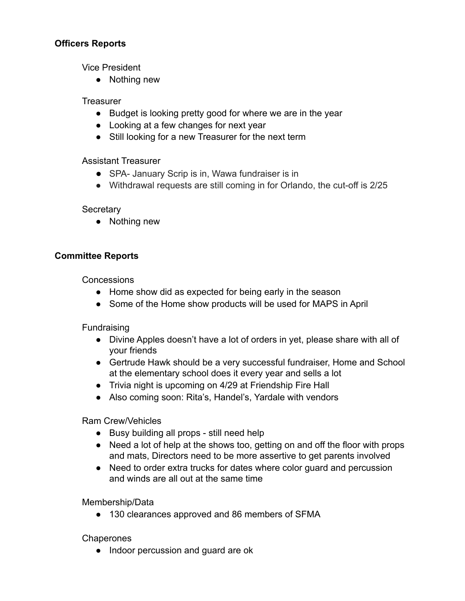## **Officers Reports**

Vice President

● Nothing new

## **Treasurer**

- Budget is looking pretty good for where we are in the year
- Looking at a few changes for next year
- Still looking for a new Treasurer for the next term

# Assistant Treasurer

- SPA- January Scrip is in, Wawa fundraiser is in
- Withdrawal requests are still coming in for Orlando, the cut-off is 2/25

## **Secretary**

• Nothing new

# **Committee Reports**

**Concessions** 

- Home show did as expected for being early in the season
- Some of the Home show products will be used for MAPS in April

Fundraising

- Divine Apples doesn't have a lot of orders in yet, please share with all of your friends
- Gertrude Hawk should be a very successful fundraiser, Home and School at the elementary school does it every year and sells a lot
- Trivia night is upcoming on 4/29 at Friendship Fire Hall
- Also coming soon: Rita's, Handel's, Yardale with vendors

Ram Crew/Vehicles

- Busy building all props still need help
- Need a lot of help at the shows too, getting on and off the floor with props and mats, Directors need to be more assertive to get parents involved
- Need to order extra trucks for dates where color quard and percussion and winds are all out at the same time

Membership/Data

● 130 clearances approved and 86 members of SFMA

**Chaperones** 

• Indoor percussion and guard are ok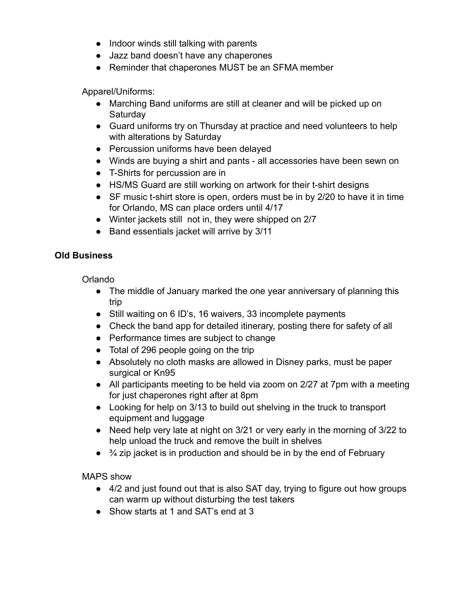- Indoor winds still talking with parents
- Jazz band doesn't have any chaperones
- Reminder that chaperones MUST be an SFMA member

Apparel/Uniforms:

- Marching Band uniforms are still at cleaner and will be picked up on **Saturday**
- Guard uniforms try on Thursday at practice and need volunteers to help with alterations by Saturday
- Percussion uniforms have been delayed
- Winds are buying a shirt and pants all accessories have been sewn on
- T-Shirts for percussion are in
- HS/MS Guard are still working on artwork for their t-shirt designs
- SF music t-shirt store is open, orders must be in by 2/20 to have it in time for Orlando, MS can place orders until 4/17
- Winter jackets still not in, they were shipped on 2/7
- Band essentials jacket will arrive by 3/11

# **Old Business**

Orlando

- The middle of January marked the one year anniversary of planning this trip
- Still waiting on 6 ID's, 16 waivers, 33 incomplete payments
- Check the band app for detailed itinerary, posting there for safety of all
- Performance times are subject to change
- Total of 296 people going on the trip
- Absolutely no cloth masks are allowed in Disney parks, must be paper surgical or Kn95
- All participants meeting to be held via zoom on 2/27 at 7pm with a meeting for just chaperones right after at 8pm
- Looking for help on 3/13 to build out shelving in the truck to transport equipment and luggage
- Need help very late at night on 3/21 or very early in the morning of 3/22 to help unload the truck and remove the built in shelves
- $\bullet$   $\frac{3}{4}$  zip jacket is in production and should be in by the end of February

MAPS show

- 4/2 and just found out that is also SAT day, trying to figure out how groups can warm up without disturbing the test takers
- Show starts at 1 and SAT's end at 3